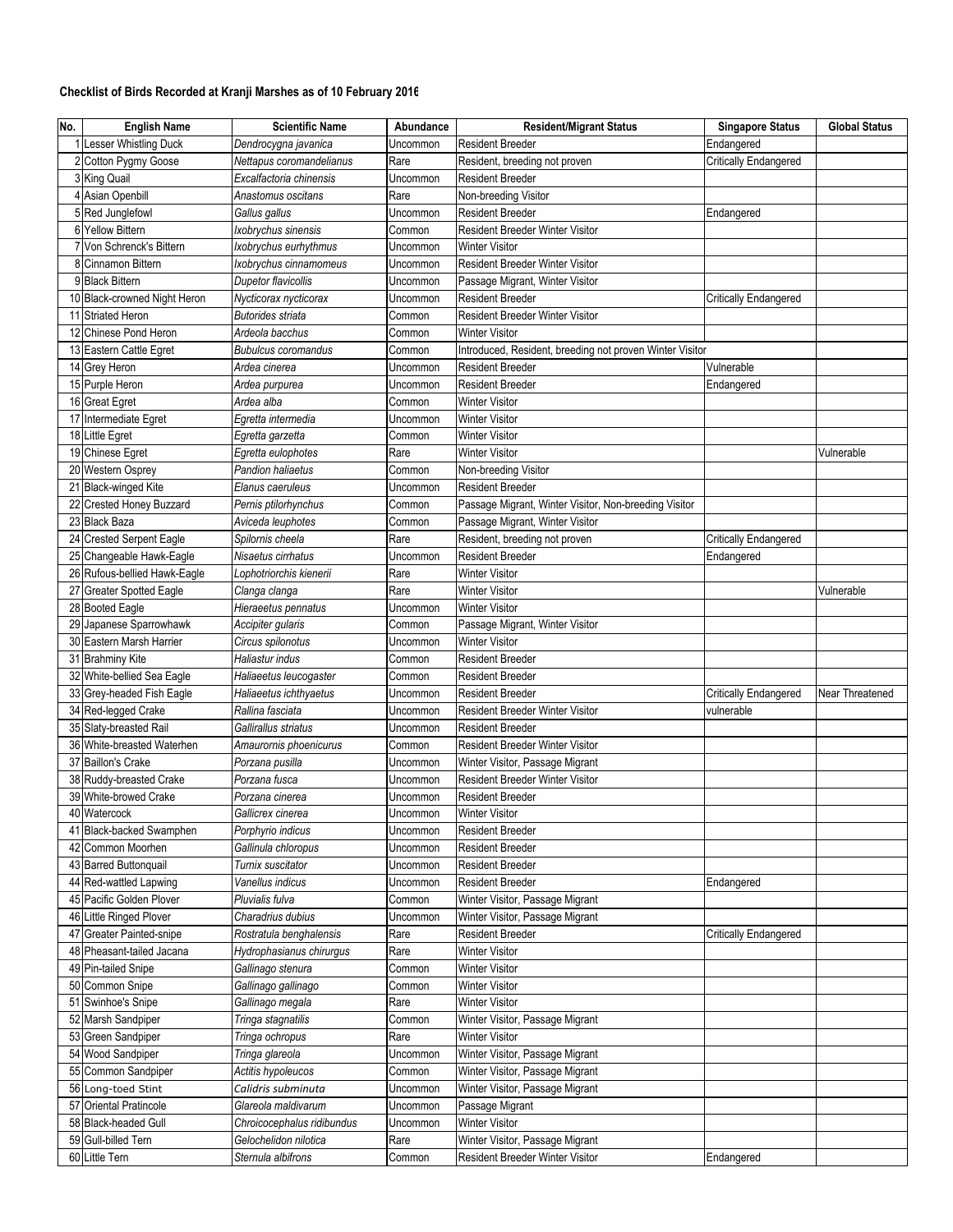## Checklist of Birds Recorded at Kranji Marshes as of 10 February 2016

| No. | <b>English Name</b>          | <b>Scientific Name</b>     | Abundance | <b>Resident/Migrant Status</b>                           | <b>Singapore Status</b>      | <b>Global Status</b> |
|-----|------------------------------|----------------------------|-----------|----------------------------------------------------------|------------------------------|----------------------|
|     | <b>Lesser Whistling Duck</b> | Dendrocygna javanica       | Uncommon  | <b>Resident Breeder</b>                                  | Endangered                   |                      |
|     | 2 Cotton Pygmy Goose         | Nettapus coromandelianus   | Rare      | Resident, breeding not proven                            | <b>Critically Endangered</b> |                      |
|     | 3 King Quail                 | Excalfactoria chinensis    | Uncommon  | <b>Resident Breeder</b>                                  |                              |                      |
|     | 4 Asian Openbill             | Anastomus oscitans         | Rare      | Non-breeding Visitor                                     |                              |                      |
|     | 5 Red Junglefowl             | Gallus gallus              | Uncommon  | <b>Resident Breeder</b>                                  | Endangered                   |                      |
|     | 6 Yellow Bittern             | Ixobrychus sinensis        | Common    | <b>Resident Breeder Winter Visitor</b>                   |                              |                      |
|     | 7 Von Schrenck's Bittern     | Ixobrychus eurhythmus      | Uncommon  | <b>Winter Visitor</b>                                    |                              |                      |
|     | 8 Cinnamon Bittern           | Ixobrychus cinnamomeus     | Uncommon  | Resident Breeder Winter Visitor                          |                              |                      |
|     | 9 Black Bittern              | <b>Dupetor flavicollis</b> | Uncommon  | Passage Migrant, Winter Visitor                          |                              |                      |
|     | 10 Black-crowned Night Heron | Nycticorax nycticorax      | Uncommon  | <b>Resident Breeder</b>                                  | <b>Critically Endangered</b> |                      |
|     | 11 Striated Heron            | <b>Butorides striata</b>   | Common    | Resident Breeder Winter Visitor                          |                              |                      |
|     | 12 Chinese Pond Heron        | Ardeola bacchus            | Common    | <b>Winter Visitor</b>                                    |                              |                      |
|     | 13 Eastern Cattle Egret      | <b>Bubulcus coromandus</b> | Common    | Introduced, Resident, breeding not proven Winter Visitor |                              |                      |
|     | 14 Grey Heron                | Ardea cinerea              | Uncommon  | <b>Resident Breeder</b>                                  | Vulnerable                   |                      |
|     | 15 Purple Heron              | Ardea purpurea             | Uncommon  | <b>Resident Breeder</b>                                  | Endangered                   |                      |
|     | 16 Great Egret               | Ardea alba                 | Common    | <b>Winter Visitor</b>                                    |                              |                      |
|     | 17 Intermediate Egret        | Egretta intermedia         | Uncommon  | <b>Winter Visitor</b>                                    |                              |                      |
|     | 18 Little Egret              | Egretta garzetta           | Common    | <b>Winter Visitor</b>                                    |                              |                      |
|     | 19 Chinese Egret             | Egretta eulophotes         | Rare      | <b>Winter Visitor</b>                                    |                              | Vulnerable           |
|     | 20 Western Osprey            | Pandion haliaetus          | Common    | Non-breeding Visitor                                     |                              |                      |
|     | 21 Black-winged Kite         | Elanus caeruleus           | Uncommon  | <b>Resident Breeder</b>                                  |                              |                      |
|     | 22 Crested Honey Buzzard     | Pernis ptilorhynchus       | Common    | Passage Migrant, Winter Visitor, Non-breeding Visitor    |                              |                      |
|     | 23 Black Baza                | Aviceda leuphotes          | Common    | Passage Migrant, Winter Visitor                          |                              |                      |
|     | 24 Crested Serpent Eagle     | Spilornis cheela           | Rare      | Resident, breeding not proven                            | Critically Endangered        |                      |
|     | 25 Changeable Hawk-Eagle     | Nisaetus cirrhatus         | Uncommon  | <b>Resident Breeder</b>                                  | Endangered                   |                      |
|     | 26 Rufous-bellied Hawk-Eagle | Lophotriorchis kienerii    | Rare      | <b>Winter Visitor</b>                                    |                              |                      |
|     | 27 Greater Spotted Eagle     | Clanga clanga              | Rare      | <b>Winter Visitor</b>                                    |                              | Vulnerable           |
|     | 28 Booted Eagle              | Hieraeetus pennatus        | Uncommon  | <b>Winter Visitor</b>                                    |                              |                      |
|     | Japanese Sparrowhawk         | Accipiter gularis          | Common    | Passage Migrant, Winter Visitor                          |                              |                      |
|     | 30 Eastern Marsh Harrier     | Circus spilonotus          | Uncommon  | <b>Winter Visitor</b>                                    |                              |                      |
|     | 31 Brahminy Kite             | Haliastur indus            | Common    | <b>Resident Breeder</b>                                  |                              |                      |
|     | 32 White-bellied Sea Eagle   | Haliaeetus leucogaster     | Common    | <b>Resident Breeder</b>                                  |                              |                      |
|     | 33 Grey-headed Fish Eagle    | Haliaeetus ichthyaetus     | Uncommon  | <b>Resident Breeder</b>                                  | <b>Critically Endangered</b> | Near Threatened      |
|     | 34 Red-legged Crake          | Rallina fasciata           | Uncommon  | Resident Breeder Winter Visitor                          | vulnerable                   |                      |
|     | 35 Slaty-breasted Rail       | Gallirallus striatus       | Uncommon  | <b>Resident Breeder</b>                                  |                              |                      |
|     | 36 White-breasted Waterhen   | Amaurornis phoenicurus     | Common    | Resident Breeder Winter Visitor                          |                              |                      |
|     | 37 Baillon's Crake           | Porzana pusilla            | Uncommon  | Winter Visitor, Passage Migrant                          |                              |                      |
|     | 38 Ruddy-breasted Crake      | Porzana fusca              | Uncommon  | Resident Breeder Winter Visitor                          |                              |                      |
|     | 39 White-browed Crake        | Porzana cinerea            | Uncommon  | <b>Resident Breeder</b>                                  |                              |                      |
|     | 40 Watercock                 | Gallicrex cinerea          | Uncommon  | <b>Winter Visitor</b>                                    |                              |                      |
|     | <b>Black-backed Swamphen</b> | Porphyrio indicus          | Uncommon  | <b>Resident Breeder</b>                                  |                              |                      |
|     | 42 Common Moorhen            | Gallinula chloropus        | Uncommon  | <b>Resident Breeder</b>                                  |                              |                      |
|     | 43 Barred Buttonquail        | Turnix suscitator          | Uncommon  | Resident Breeder                                         |                              |                      |
|     | 44 Red-wattled Lapwing       | Vanellus indicus           | Uncommon  | Resident Breeder                                         | Endangered                   |                      |
|     | 45 Pacific Golden Plover     | Pluvialis fulva            | Common    | Winter Visitor, Passage Migrant                          |                              |                      |
|     | 46 Little Ringed Plover      | Charadrius dubius          | Uncommon  | Winter Visitor, Passage Migrant                          |                              |                      |
|     | 47 Greater Painted-snipe     | Rostratula benghalensis    | Rare      | Resident Breeder                                         | <b>Critically Endangered</b> |                      |
|     | 48 Pheasant-tailed Jacana    | Hydrophasianus chirurgus   | Rare      | <b>Winter Visitor</b>                                    |                              |                      |
|     | 49 Pin-tailed Snipe          | Gallinago stenura          | Common    | <b>Winter Visitor</b>                                    |                              |                      |
|     | 50 Common Snipe              | Gallinago gallinago        | Common    | <b>Winter Visitor</b>                                    |                              |                      |
|     | 51 Swinhoe's Snipe           | Gallinago megala           | Rare      | Winter Visitor                                           |                              |                      |
|     | 52 Marsh Sandpiper           | Tringa stagnatilis         | Common    | Winter Visitor, Passage Migrant                          |                              |                      |
|     | 53 Green Sandpiper           | Tringa ochropus            | Rare      | <b>Winter Visitor</b>                                    |                              |                      |
|     | 54 Wood Sandpiper            | Tringa glareola            | Uncommon  | Winter Visitor, Passage Migrant                          |                              |                      |
|     | 55 Common Sandpiper          | Actitis hypoleucos         | Common    | Winter Visitor, Passage Migrant                          |                              |                      |
|     | 56 Long-toed Stint           | Calidris subminuta         | Uncommon  | Winter Visitor, Passage Migrant                          |                              |                      |
|     | 57 Oriental Pratincole       | Glareola maldivarum        | Uncommon  | Passage Migrant                                          |                              |                      |
|     | 58 Black-headed Gull         | Chroicocephalus ridibundus | Uncommon  | <b>Winter Visitor</b>                                    |                              |                      |
|     | 59 Gull-billed Tern          | Gelochelidon nilotica      | Rare      | Winter Visitor, Passage Migrant                          |                              |                      |
|     | 60 Little Tern               | Sternula albifrons         | Common    | Resident Breeder Winter Visitor                          | Endangered                   |                      |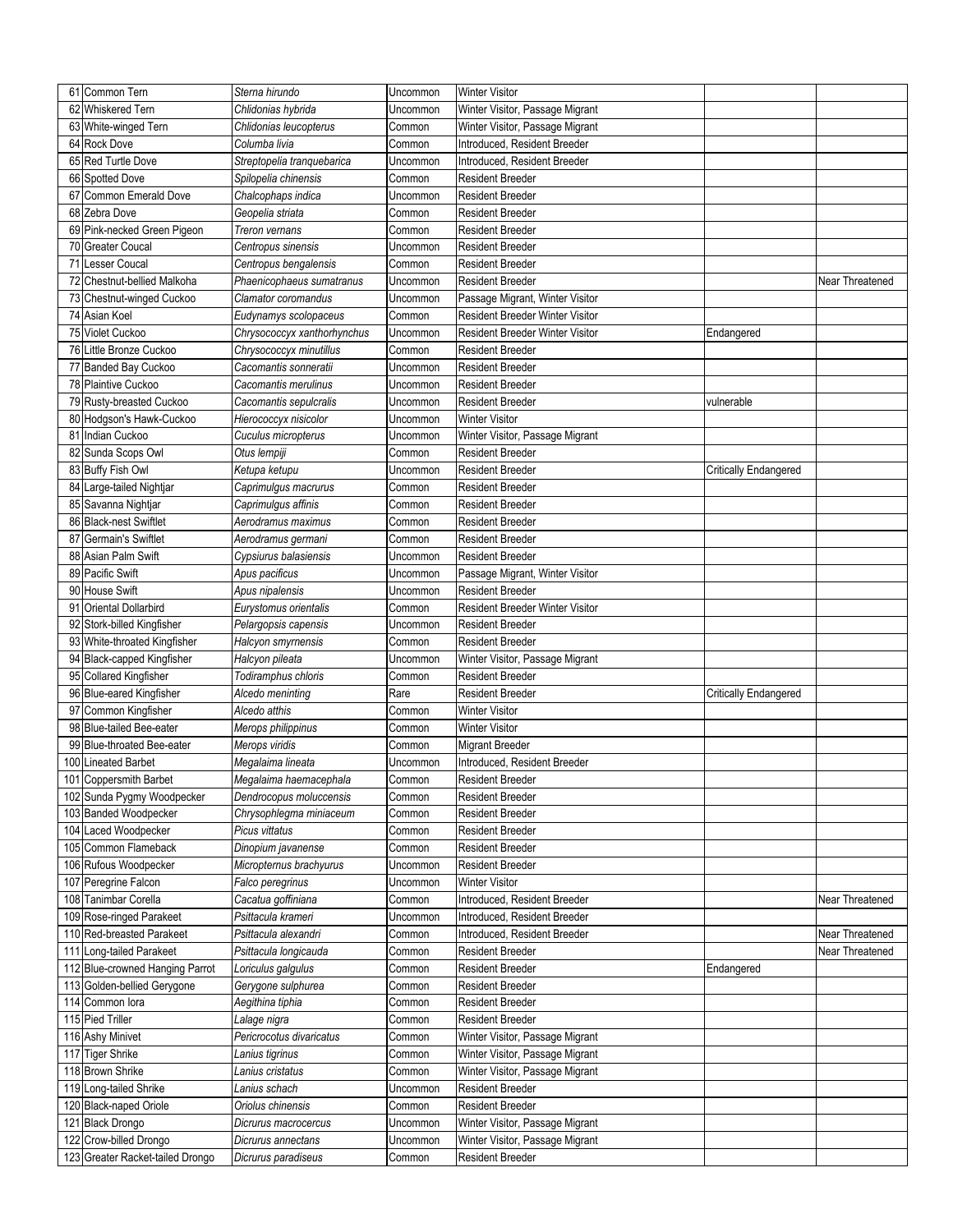| 62 Whiskered Tern<br>Chlidonias hybrida<br>Winter Visitor, Passage Migrant<br>Uncommon<br>63 White-winged Tern<br>Winter Visitor, Passage Migrant<br>Chlidonias leucopterus<br>Common<br>64 Rock Dove<br>Columba livia<br>Common<br>Introduced, Resident Breeder<br>65 Red Turtle Dove<br>Introduced, Resident Breeder<br>Streptopelia tranquebarica<br>Uncommon<br>66 Spotted Dove<br>Spilopelia chinensis<br>Common<br><b>Resident Breeder</b><br>Common Emerald Dove<br>67<br>Chalcophaps indica<br>Uncommon<br><b>Resident Breeder</b><br>68 Zebra Dove<br>Geopelia striata<br><b>Resident Breeder</b><br>Common<br>69 Pink-necked Green Pigeon<br>Treron vernans<br>Common<br><b>Resident Breeder</b><br>70 Greater Coucal<br>Centropus sinensis<br>Uncommon<br><b>Resident Breeder</b><br>Lesser Coucal<br>71<br>Centropus bengalensis<br>Common<br><b>Resident Breeder</b><br>72 Chestnut-bellied Malkoha<br>Phaenicophaeus sumatranus<br><b>Resident Breeder</b><br>Uncommon<br>Near Threatened<br>73 Chestnut-winged Cuckoo<br>Clamator coromandus<br>Passage Migrant, Winter Visitor<br>Uncommon<br>74 Asian Koel<br>Resident Breeder Winter Visitor<br>Eudynamys scolopaceus<br>Common<br>75 Violet Cuckoo<br>Resident Breeder Winter Visitor<br>Chrysococcyx xanthorhynchus<br>Uncommon<br>Endangered<br>76 Little Bronze Cuckoo<br>Chrysococcyx minutillus<br>Common<br><b>Resident Breeder</b><br>77 Banded Bay Cuckoo<br>Cacomantis sonneratii<br>Uncommon<br><b>Resident Breeder</b><br>78 Plaintive Cuckoo<br>Cacomantis merulinus<br><b>Resident Breeder</b><br>Uncommon<br>79 Rusty-breasted Cuckoo<br>Cacomantis sepulcralis<br><b>Resident Breeder</b><br>vulnerable<br>Uncommon<br>80 Hodgson's Hawk-Cuckoo<br><b>Winter Visitor</b><br>Hierococcyx nisicolor<br>Uncommon<br>81 Indian Cuckoo<br>Winter Visitor, Passage Migrant<br>Cuculus micropterus<br>Uncommon<br>82 Sunda Scops Owl<br>Otus lempiji<br>Common<br><b>Resident Breeder</b><br>83 Buffy Fish Owl<br>Ketupa ketupu<br><b>Resident Breeder</b><br>Uncommon<br><b>Critically Endangered</b><br>Large-tailed Nightjar<br>Common<br><b>Resident Breeder</b><br>84<br>Caprimulgus macrurus<br>85 Savanna Nightjar<br>Caprimulgus affinis<br><b>Resident Breeder</b><br>Common<br>86 Black-nest Swiftlet<br>Aerodramus maximus<br><b>Resident Breeder</b><br>Common<br>87 Germain's Swiftlet<br><b>Resident Breeder</b><br>Aerodramus germani<br>Common<br>88 Asian Palm Swift<br><b>Resident Breeder</b><br>Cypsiurus balasiensis<br>Uncommon<br>89 Pacific Swift<br>Passage Migrant, Winter Visitor<br>Apus pacificus<br>Uncommon<br><b>House Swift</b><br><b>Resident Breeder</b><br>90<br>Apus nipalensis<br>Uncommon<br><b>Oriental Dollarbird</b><br>Eurystomus orientalis<br>Resident Breeder Winter Visitor<br>91<br>Common<br>92 Stork-billed Kingfisher<br><b>Resident Breeder</b><br>Pelargopsis capensis<br>Uncommon<br>93 White-throated Kingfisher<br>Halcyon smyrnensis<br><b>Resident Breeder</b><br>Common<br>94 Black-capped Kingfisher<br>Halcyon pileata<br>Winter Visitor, Passage Migrant<br>Uncommon<br>95 Collared Kingfisher<br>Todiramphus chloris<br>Common<br><b>Resident Breeder</b><br>96 Blue-eared Kingfisher<br>Alcedo meninting<br>Rare<br><b>Resident Breeder</b><br>Critically Endangered<br>Common Kingfisher<br>Alcedo atthis<br><b>Winter Visitor</b><br>97<br>Common<br>98 Blue-tailed Bee-eater<br><b>Winter Visitor</b><br>Merops philippinus<br>Common<br>99 Blue-throated Bee-eater<br>Merops viridis<br><b>Migrant Breeder</b><br>Common<br>100 Lineated Barbet<br>Introduced, Resident Breeder<br>Megalaima lineata<br>Uncommon<br>101 Coppersmith Barbet<br>Megalaima haemacephala<br>Common<br><b>Resident Breeder</b><br>102 Sunda Pygmy Woodpecker<br>Dendrocopus moluccensis<br>Common<br><b>Resident Breeder</b><br>103 Banded Woodpecker<br><b>Resident Breeder</b><br>Chrysophlegma miniaceum<br>Common<br>104 Laced Woodpecker<br>Picus vittatus<br>Common<br>Resident Breeder<br>105 Common Flameback<br>Dinopium javanense<br>Resident Breeder<br>Common<br>106 Rufous Woodpecker<br>Micropternus brachyurus<br><b>Resident Breeder</b><br>Uncommon<br>107 Peregrine Falcon<br>Falco peregrinus<br><b>Winter Visitor</b><br>Uncommon<br>108 Tanimbar Corella<br>Cacatua goffiniana<br>Introduced, Resident Breeder<br>Common<br>Near Threatened<br>109 Rose-ringed Parakeet<br>Psittacula krameri<br>Introduced, Resident Breeder<br>Uncommon<br>110 Red-breasted Parakeet<br>Psittacula alexandri<br>Near Threatened<br>Introduced, Resident Breeder<br>Common<br>111 Long-tailed Parakeet<br>Psittacula longicauda<br><b>Resident Breeder</b><br>Near Threatened<br>Common<br>112 Blue-crowned Hanging Parrot<br>Loriculus galgulus<br><b>Resident Breeder</b><br>Common<br>Endangered<br>113 Golden-bellied Gerygone<br>Gerygone sulphurea<br>Common<br><b>Resident Breeder</b><br>114 Common lora<br>Aegithina tiphia<br>Resident Breeder<br>Common<br>115 Pied Triller<br><b>Resident Breeder</b><br>Lalage nigra<br>Common<br>116 Ashy Minivet<br>Pericrocotus divaricatus<br>Winter Visitor, Passage Migrant<br>Common<br>117 Tiger Shrike<br>Winter Visitor, Passage Migrant<br>Lanius tigrinus<br>Common<br>118 Brown Shrike<br>Lanius cristatus<br>Winter Visitor, Passage Migrant<br>Common<br>119 Long-tailed Shrike<br><b>Resident Breeder</b><br>Lanius schach<br>Uncommon<br>120 Black-naped Oriole<br>Oriolus chinensis<br>Common<br><b>Resident Breeder</b><br>121 Black Drongo<br>Winter Visitor, Passage Migrant<br>Dicrurus macrocercus<br>Uncommon<br>122 Crow-billed Drongo<br>Winter Visitor, Passage Migrant<br>Dicrurus annectans<br>Uncommon | 61 Common Tern                   | Sterna hirundo      | Uncommon | <b>Winter Visitor</b> |  |
|-------------------------------------------------------------------------------------------------------------------------------------------------------------------------------------------------------------------------------------------------------------------------------------------------------------------------------------------------------------------------------------------------------------------------------------------------------------------------------------------------------------------------------------------------------------------------------------------------------------------------------------------------------------------------------------------------------------------------------------------------------------------------------------------------------------------------------------------------------------------------------------------------------------------------------------------------------------------------------------------------------------------------------------------------------------------------------------------------------------------------------------------------------------------------------------------------------------------------------------------------------------------------------------------------------------------------------------------------------------------------------------------------------------------------------------------------------------------------------------------------------------------------------------------------------------------------------------------------------------------------------------------------------------------------------------------------------------------------------------------------------------------------------------------------------------------------------------------------------------------------------------------------------------------------------------------------------------------------------------------------------------------------------------------------------------------------------------------------------------------------------------------------------------------------------------------------------------------------------------------------------------------------------------------------------------------------------------------------------------------------------------------------------------------------------------------------------------------------------------------------------------------------------------------------------------------------------------------------------------------------------------------------------------------------------------------------------------------------------------------------------------------------------------------------------------------------------------------------------------------------------------------------------------------------------------------------------------------------------------------------------------------------------------------------------------------------------------------------------------------------------------------------------------------------------------------------------------------------------------------------------------------------------------------------------------------------------------------------------------------------------------------------------------------------------------------------------------------------------------------------------------------------------------------------------------------------------------------------------------------------------------------------------------------------------------------------------------------------------------------------------------------------------------------------------------------------------------------------------------------------------------------------------------------------------------------------------------------------------------------------------------------------------------------------------------------------------------------------------------------------------------------------------------------------------------------------------------------------------------------------------------------------------------------------------------------------------------------------------------------------------------------------------------------------------------------------------------------------------------------------------------------------------------------------------------------------------------------------------------------------------------------------------------------------------------------------------------------------------------------------------------------------------------------------------------------------------------------------------------------------------------------------------------------------------------------------------------------------------------------------------------------------------------------------------------------------------------------------------------------------------------------------------------------------------------------------------------------------------------------------------------------------------------------------------------------------------------------------------------------------------------------------------------------------------------------------------------------------------------------------------------------------------------------------------------------------------------------------------------------------------------------------------------------------------------------------------------------|----------------------------------|---------------------|----------|-----------------------|--|
|                                                                                                                                                                                                                                                                                                                                                                                                                                                                                                                                                                                                                                                                                                                                                                                                                                                                                                                                                                                                                                                                                                                                                                                                                                                                                                                                                                                                                                                                                                                                                                                                                                                                                                                                                                                                                                                                                                                                                                                                                                                                                                                                                                                                                                                                                                                                                                                                                                                                                                                                                                                                                                                                                                                                                                                                                                                                                                                                                                                                                                                                                                                                                                                                                                                                                                                                                                                                                                                                                                                                                                                                                                                                                                                                                                                                                                                                                                                                                                                                                                                                                                                                                                                                                                                                                                                                                                                                                                                                                                                                                                                                                                                                                                                                                                                                                                                                                                                                                                                                                                                                                                                                                                                                                                                                                                                                                                                                                                                                                                                                                                                                                                                                                                                   |                                  |                     |          |                       |  |
|                                                                                                                                                                                                                                                                                                                                                                                                                                                                                                                                                                                                                                                                                                                                                                                                                                                                                                                                                                                                                                                                                                                                                                                                                                                                                                                                                                                                                                                                                                                                                                                                                                                                                                                                                                                                                                                                                                                                                                                                                                                                                                                                                                                                                                                                                                                                                                                                                                                                                                                                                                                                                                                                                                                                                                                                                                                                                                                                                                                                                                                                                                                                                                                                                                                                                                                                                                                                                                                                                                                                                                                                                                                                                                                                                                                                                                                                                                                                                                                                                                                                                                                                                                                                                                                                                                                                                                                                                                                                                                                                                                                                                                                                                                                                                                                                                                                                                                                                                                                                                                                                                                                                                                                                                                                                                                                                                                                                                                                                                                                                                                                                                                                                                                                   |                                  |                     |          |                       |  |
|                                                                                                                                                                                                                                                                                                                                                                                                                                                                                                                                                                                                                                                                                                                                                                                                                                                                                                                                                                                                                                                                                                                                                                                                                                                                                                                                                                                                                                                                                                                                                                                                                                                                                                                                                                                                                                                                                                                                                                                                                                                                                                                                                                                                                                                                                                                                                                                                                                                                                                                                                                                                                                                                                                                                                                                                                                                                                                                                                                                                                                                                                                                                                                                                                                                                                                                                                                                                                                                                                                                                                                                                                                                                                                                                                                                                                                                                                                                                                                                                                                                                                                                                                                                                                                                                                                                                                                                                                                                                                                                                                                                                                                                                                                                                                                                                                                                                                                                                                                                                                                                                                                                                                                                                                                                                                                                                                                                                                                                                                                                                                                                                                                                                                                                   |                                  |                     |          |                       |  |
|                                                                                                                                                                                                                                                                                                                                                                                                                                                                                                                                                                                                                                                                                                                                                                                                                                                                                                                                                                                                                                                                                                                                                                                                                                                                                                                                                                                                                                                                                                                                                                                                                                                                                                                                                                                                                                                                                                                                                                                                                                                                                                                                                                                                                                                                                                                                                                                                                                                                                                                                                                                                                                                                                                                                                                                                                                                                                                                                                                                                                                                                                                                                                                                                                                                                                                                                                                                                                                                                                                                                                                                                                                                                                                                                                                                                                                                                                                                                                                                                                                                                                                                                                                                                                                                                                                                                                                                                                                                                                                                                                                                                                                                                                                                                                                                                                                                                                                                                                                                                                                                                                                                                                                                                                                                                                                                                                                                                                                                                                                                                                                                                                                                                                                                   |                                  |                     |          |                       |  |
|                                                                                                                                                                                                                                                                                                                                                                                                                                                                                                                                                                                                                                                                                                                                                                                                                                                                                                                                                                                                                                                                                                                                                                                                                                                                                                                                                                                                                                                                                                                                                                                                                                                                                                                                                                                                                                                                                                                                                                                                                                                                                                                                                                                                                                                                                                                                                                                                                                                                                                                                                                                                                                                                                                                                                                                                                                                                                                                                                                                                                                                                                                                                                                                                                                                                                                                                                                                                                                                                                                                                                                                                                                                                                                                                                                                                                                                                                                                                                                                                                                                                                                                                                                                                                                                                                                                                                                                                                                                                                                                                                                                                                                                                                                                                                                                                                                                                                                                                                                                                                                                                                                                                                                                                                                                                                                                                                                                                                                                                                                                                                                                                                                                                                                                   |                                  |                     |          |                       |  |
|                                                                                                                                                                                                                                                                                                                                                                                                                                                                                                                                                                                                                                                                                                                                                                                                                                                                                                                                                                                                                                                                                                                                                                                                                                                                                                                                                                                                                                                                                                                                                                                                                                                                                                                                                                                                                                                                                                                                                                                                                                                                                                                                                                                                                                                                                                                                                                                                                                                                                                                                                                                                                                                                                                                                                                                                                                                                                                                                                                                                                                                                                                                                                                                                                                                                                                                                                                                                                                                                                                                                                                                                                                                                                                                                                                                                                                                                                                                                                                                                                                                                                                                                                                                                                                                                                                                                                                                                                                                                                                                                                                                                                                                                                                                                                                                                                                                                                                                                                                                                                                                                                                                                                                                                                                                                                                                                                                                                                                                                                                                                                                                                                                                                                                                   |                                  |                     |          |                       |  |
|                                                                                                                                                                                                                                                                                                                                                                                                                                                                                                                                                                                                                                                                                                                                                                                                                                                                                                                                                                                                                                                                                                                                                                                                                                                                                                                                                                                                                                                                                                                                                                                                                                                                                                                                                                                                                                                                                                                                                                                                                                                                                                                                                                                                                                                                                                                                                                                                                                                                                                                                                                                                                                                                                                                                                                                                                                                                                                                                                                                                                                                                                                                                                                                                                                                                                                                                                                                                                                                                                                                                                                                                                                                                                                                                                                                                                                                                                                                                                                                                                                                                                                                                                                                                                                                                                                                                                                                                                                                                                                                                                                                                                                                                                                                                                                                                                                                                                                                                                                                                                                                                                                                                                                                                                                                                                                                                                                                                                                                                                                                                                                                                                                                                                                                   |                                  |                     |          |                       |  |
|                                                                                                                                                                                                                                                                                                                                                                                                                                                                                                                                                                                                                                                                                                                                                                                                                                                                                                                                                                                                                                                                                                                                                                                                                                                                                                                                                                                                                                                                                                                                                                                                                                                                                                                                                                                                                                                                                                                                                                                                                                                                                                                                                                                                                                                                                                                                                                                                                                                                                                                                                                                                                                                                                                                                                                                                                                                                                                                                                                                                                                                                                                                                                                                                                                                                                                                                                                                                                                                                                                                                                                                                                                                                                                                                                                                                                                                                                                                                                                                                                                                                                                                                                                                                                                                                                                                                                                                                                                                                                                                                                                                                                                                                                                                                                                                                                                                                                                                                                                                                                                                                                                                                                                                                                                                                                                                                                                                                                                                                                                                                                                                                                                                                                                                   |                                  |                     |          |                       |  |
|                                                                                                                                                                                                                                                                                                                                                                                                                                                                                                                                                                                                                                                                                                                                                                                                                                                                                                                                                                                                                                                                                                                                                                                                                                                                                                                                                                                                                                                                                                                                                                                                                                                                                                                                                                                                                                                                                                                                                                                                                                                                                                                                                                                                                                                                                                                                                                                                                                                                                                                                                                                                                                                                                                                                                                                                                                                                                                                                                                                                                                                                                                                                                                                                                                                                                                                                                                                                                                                                                                                                                                                                                                                                                                                                                                                                                                                                                                                                                                                                                                                                                                                                                                                                                                                                                                                                                                                                                                                                                                                                                                                                                                                                                                                                                                                                                                                                                                                                                                                                                                                                                                                                                                                                                                                                                                                                                                                                                                                                                                                                                                                                                                                                                                                   |                                  |                     |          |                       |  |
|                                                                                                                                                                                                                                                                                                                                                                                                                                                                                                                                                                                                                                                                                                                                                                                                                                                                                                                                                                                                                                                                                                                                                                                                                                                                                                                                                                                                                                                                                                                                                                                                                                                                                                                                                                                                                                                                                                                                                                                                                                                                                                                                                                                                                                                                                                                                                                                                                                                                                                                                                                                                                                                                                                                                                                                                                                                                                                                                                                                                                                                                                                                                                                                                                                                                                                                                                                                                                                                                                                                                                                                                                                                                                                                                                                                                                                                                                                                                                                                                                                                                                                                                                                                                                                                                                                                                                                                                                                                                                                                                                                                                                                                                                                                                                                                                                                                                                                                                                                                                                                                                                                                                                                                                                                                                                                                                                                                                                                                                                                                                                                                                                                                                                                                   |                                  |                     |          |                       |  |
|                                                                                                                                                                                                                                                                                                                                                                                                                                                                                                                                                                                                                                                                                                                                                                                                                                                                                                                                                                                                                                                                                                                                                                                                                                                                                                                                                                                                                                                                                                                                                                                                                                                                                                                                                                                                                                                                                                                                                                                                                                                                                                                                                                                                                                                                                                                                                                                                                                                                                                                                                                                                                                                                                                                                                                                                                                                                                                                                                                                                                                                                                                                                                                                                                                                                                                                                                                                                                                                                                                                                                                                                                                                                                                                                                                                                                                                                                                                                                                                                                                                                                                                                                                                                                                                                                                                                                                                                                                                                                                                                                                                                                                                                                                                                                                                                                                                                                                                                                                                                                                                                                                                                                                                                                                                                                                                                                                                                                                                                                                                                                                                                                                                                                                                   |                                  |                     |          |                       |  |
|                                                                                                                                                                                                                                                                                                                                                                                                                                                                                                                                                                                                                                                                                                                                                                                                                                                                                                                                                                                                                                                                                                                                                                                                                                                                                                                                                                                                                                                                                                                                                                                                                                                                                                                                                                                                                                                                                                                                                                                                                                                                                                                                                                                                                                                                                                                                                                                                                                                                                                                                                                                                                                                                                                                                                                                                                                                                                                                                                                                                                                                                                                                                                                                                                                                                                                                                                                                                                                                                                                                                                                                                                                                                                                                                                                                                                                                                                                                                                                                                                                                                                                                                                                                                                                                                                                                                                                                                                                                                                                                                                                                                                                                                                                                                                                                                                                                                                                                                                                                                                                                                                                                                                                                                                                                                                                                                                                                                                                                                                                                                                                                                                                                                                                                   |                                  |                     |          |                       |  |
|                                                                                                                                                                                                                                                                                                                                                                                                                                                                                                                                                                                                                                                                                                                                                                                                                                                                                                                                                                                                                                                                                                                                                                                                                                                                                                                                                                                                                                                                                                                                                                                                                                                                                                                                                                                                                                                                                                                                                                                                                                                                                                                                                                                                                                                                                                                                                                                                                                                                                                                                                                                                                                                                                                                                                                                                                                                                                                                                                                                                                                                                                                                                                                                                                                                                                                                                                                                                                                                                                                                                                                                                                                                                                                                                                                                                                                                                                                                                                                                                                                                                                                                                                                                                                                                                                                                                                                                                                                                                                                                                                                                                                                                                                                                                                                                                                                                                                                                                                                                                                                                                                                                                                                                                                                                                                                                                                                                                                                                                                                                                                                                                                                                                                                                   |                                  |                     |          |                       |  |
|                                                                                                                                                                                                                                                                                                                                                                                                                                                                                                                                                                                                                                                                                                                                                                                                                                                                                                                                                                                                                                                                                                                                                                                                                                                                                                                                                                                                                                                                                                                                                                                                                                                                                                                                                                                                                                                                                                                                                                                                                                                                                                                                                                                                                                                                                                                                                                                                                                                                                                                                                                                                                                                                                                                                                                                                                                                                                                                                                                                                                                                                                                                                                                                                                                                                                                                                                                                                                                                                                                                                                                                                                                                                                                                                                                                                                                                                                                                                                                                                                                                                                                                                                                                                                                                                                                                                                                                                                                                                                                                                                                                                                                                                                                                                                                                                                                                                                                                                                                                                                                                                                                                                                                                                                                                                                                                                                                                                                                                                                                                                                                                                                                                                                                                   |                                  |                     |          |                       |  |
|                                                                                                                                                                                                                                                                                                                                                                                                                                                                                                                                                                                                                                                                                                                                                                                                                                                                                                                                                                                                                                                                                                                                                                                                                                                                                                                                                                                                                                                                                                                                                                                                                                                                                                                                                                                                                                                                                                                                                                                                                                                                                                                                                                                                                                                                                                                                                                                                                                                                                                                                                                                                                                                                                                                                                                                                                                                                                                                                                                                                                                                                                                                                                                                                                                                                                                                                                                                                                                                                                                                                                                                                                                                                                                                                                                                                                                                                                                                                                                                                                                                                                                                                                                                                                                                                                                                                                                                                                                                                                                                                                                                                                                                                                                                                                                                                                                                                                                                                                                                                                                                                                                                                                                                                                                                                                                                                                                                                                                                                                                                                                                                                                                                                                                                   |                                  |                     |          |                       |  |
|                                                                                                                                                                                                                                                                                                                                                                                                                                                                                                                                                                                                                                                                                                                                                                                                                                                                                                                                                                                                                                                                                                                                                                                                                                                                                                                                                                                                                                                                                                                                                                                                                                                                                                                                                                                                                                                                                                                                                                                                                                                                                                                                                                                                                                                                                                                                                                                                                                                                                                                                                                                                                                                                                                                                                                                                                                                                                                                                                                                                                                                                                                                                                                                                                                                                                                                                                                                                                                                                                                                                                                                                                                                                                                                                                                                                                                                                                                                                                                                                                                                                                                                                                                                                                                                                                                                                                                                                                                                                                                                                                                                                                                                                                                                                                                                                                                                                                                                                                                                                                                                                                                                                                                                                                                                                                                                                                                                                                                                                                                                                                                                                                                                                                                                   |                                  |                     |          |                       |  |
|                                                                                                                                                                                                                                                                                                                                                                                                                                                                                                                                                                                                                                                                                                                                                                                                                                                                                                                                                                                                                                                                                                                                                                                                                                                                                                                                                                                                                                                                                                                                                                                                                                                                                                                                                                                                                                                                                                                                                                                                                                                                                                                                                                                                                                                                                                                                                                                                                                                                                                                                                                                                                                                                                                                                                                                                                                                                                                                                                                                                                                                                                                                                                                                                                                                                                                                                                                                                                                                                                                                                                                                                                                                                                                                                                                                                                                                                                                                                                                                                                                                                                                                                                                                                                                                                                                                                                                                                                                                                                                                                                                                                                                                                                                                                                                                                                                                                                                                                                                                                                                                                                                                                                                                                                                                                                                                                                                                                                                                                                                                                                                                                                                                                                                                   |                                  |                     |          |                       |  |
|                                                                                                                                                                                                                                                                                                                                                                                                                                                                                                                                                                                                                                                                                                                                                                                                                                                                                                                                                                                                                                                                                                                                                                                                                                                                                                                                                                                                                                                                                                                                                                                                                                                                                                                                                                                                                                                                                                                                                                                                                                                                                                                                                                                                                                                                                                                                                                                                                                                                                                                                                                                                                                                                                                                                                                                                                                                                                                                                                                                                                                                                                                                                                                                                                                                                                                                                                                                                                                                                                                                                                                                                                                                                                                                                                                                                                                                                                                                                                                                                                                                                                                                                                                                                                                                                                                                                                                                                                                                                                                                                                                                                                                                                                                                                                                                                                                                                                                                                                                                                                                                                                                                                                                                                                                                                                                                                                                                                                                                                                                                                                                                                                                                                                                                   |                                  |                     |          |                       |  |
|                                                                                                                                                                                                                                                                                                                                                                                                                                                                                                                                                                                                                                                                                                                                                                                                                                                                                                                                                                                                                                                                                                                                                                                                                                                                                                                                                                                                                                                                                                                                                                                                                                                                                                                                                                                                                                                                                                                                                                                                                                                                                                                                                                                                                                                                                                                                                                                                                                                                                                                                                                                                                                                                                                                                                                                                                                                                                                                                                                                                                                                                                                                                                                                                                                                                                                                                                                                                                                                                                                                                                                                                                                                                                                                                                                                                                                                                                                                                                                                                                                                                                                                                                                                                                                                                                                                                                                                                                                                                                                                                                                                                                                                                                                                                                                                                                                                                                                                                                                                                                                                                                                                                                                                                                                                                                                                                                                                                                                                                                                                                                                                                                                                                                                                   |                                  |                     |          |                       |  |
|                                                                                                                                                                                                                                                                                                                                                                                                                                                                                                                                                                                                                                                                                                                                                                                                                                                                                                                                                                                                                                                                                                                                                                                                                                                                                                                                                                                                                                                                                                                                                                                                                                                                                                                                                                                                                                                                                                                                                                                                                                                                                                                                                                                                                                                                                                                                                                                                                                                                                                                                                                                                                                                                                                                                                                                                                                                                                                                                                                                                                                                                                                                                                                                                                                                                                                                                                                                                                                                                                                                                                                                                                                                                                                                                                                                                                                                                                                                                                                                                                                                                                                                                                                                                                                                                                                                                                                                                                                                                                                                                                                                                                                                                                                                                                                                                                                                                                                                                                                                                                                                                                                                                                                                                                                                                                                                                                                                                                                                                                                                                                                                                                                                                                                                   |                                  |                     |          |                       |  |
|                                                                                                                                                                                                                                                                                                                                                                                                                                                                                                                                                                                                                                                                                                                                                                                                                                                                                                                                                                                                                                                                                                                                                                                                                                                                                                                                                                                                                                                                                                                                                                                                                                                                                                                                                                                                                                                                                                                                                                                                                                                                                                                                                                                                                                                                                                                                                                                                                                                                                                                                                                                                                                                                                                                                                                                                                                                                                                                                                                                                                                                                                                                                                                                                                                                                                                                                                                                                                                                                                                                                                                                                                                                                                                                                                                                                                                                                                                                                                                                                                                                                                                                                                                                                                                                                                                                                                                                                                                                                                                                                                                                                                                                                                                                                                                                                                                                                                                                                                                                                                                                                                                                                                                                                                                                                                                                                                                                                                                                                                                                                                                                                                                                                                                                   |                                  |                     |          |                       |  |
|                                                                                                                                                                                                                                                                                                                                                                                                                                                                                                                                                                                                                                                                                                                                                                                                                                                                                                                                                                                                                                                                                                                                                                                                                                                                                                                                                                                                                                                                                                                                                                                                                                                                                                                                                                                                                                                                                                                                                                                                                                                                                                                                                                                                                                                                                                                                                                                                                                                                                                                                                                                                                                                                                                                                                                                                                                                                                                                                                                                                                                                                                                                                                                                                                                                                                                                                                                                                                                                                                                                                                                                                                                                                                                                                                                                                                                                                                                                                                                                                                                                                                                                                                                                                                                                                                                                                                                                                                                                                                                                                                                                                                                                                                                                                                                                                                                                                                                                                                                                                                                                                                                                                                                                                                                                                                                                                                                                                                                                                                                                                                                                                                                                                                                                   |                                  |                     |          |                       |  |
|                                                                                                                                                                                                                                                                                                                                                                                                                                                                                                                                                                                                                                                                                                                                                                                                                                                                                                                                                                                                                                                                                                                                                                                                                                                                                                                                                                                                                                                                                                                                                                                                                                                                                                                                                                                                                                                                                                                                                                                                                                                                                                                                                                                                                                                                                                                                                                                                                                                                                                                                                                                                                                                                                                                                                                                                                                                                                                                                                                                                                                                                                                                                                                                                                                                                                                                                                                                                                                                                                                                                                                                                                                                                                                                                                                                                                                                                                                                                                                                                                                                                                                                                                                                                                                                                                                                                                                                                                                                                                                                                                                                                                                                                                                                                                                                                                                                                                                                                                                                                                                                                                                                                                                                                                                                                                                                                                                                                                                                                                                                                                                                                                                                                                                                   |                                  |                     |          |                       |  |
|                                                                                                                                                                                                                                                                                                                                                                                                                                                                                                                                                                                                                                                                                                                                                                                                                                                                                                                                                                                                                                                                                                                                                                                                                                                                                                                                                                                                                                                                                                                                                                                                                                                                                                                                                                                                                                                                                                                                                                                                                                                                                                                                                                                                                                                                                                                                                                                                                                                                                                                                                                                                                                                                                                                                                                                                                                                                                                                                                                                                                                                                                                                                                                                                                                                                                                                                                                                                                                                                                                                                                                                                                                                                                                                                                                                                                                                                                                                                                                                                                                                                                                                                                                                                                                                                                                                                                                                                                                                                                                                                                                                                                                                                                                                                                                                                                                                                                                                                                                                                                                                                                                                                                                                                                                                                                                                                                                                                                                                                                                                                                                                                                                                                                                                   |                                  |                     |          |                       |  |
|                                                                                                                                                                                                                                                                                                                                                                                                                                                                                                                                                                                                                                                                                                                                                                                                                                                                                                                                                                                                                                                                                                                                                                                                                                                                                                                                                                                                                                                                                                                                                                                                                                                                                                                                                                                                                                                                                                                                                                                                                                                                                                                                                                                                                                                                                                                                                                                                                                                                                                                                                                                                                                                                                                                                                                                                                                                                                                                                                                                                                                                                                                                                                                                                                                                                                                                                                                                                                                                                                                                                                                                                                                                                                                                                                                                                                                                                                                                                                                                                                                                                                                                                                                                                                                                                                                                                                                                                                                                                                                                                                                                                                                                                                                                                                                                                                                                                                                                                                                                                                                                                                                                                                                                                                                                                                                                                                                                                                                                                                                                                                                                                                                                                                                                   |                                  |                     |          |                       |  |
|                                                                                                                                                                                                                                                                                                                                                                                                                                                                                                                                                                                                                                                                                                                                                                                                                                                                                                                                                                                                                                                                                                                                                                                                                                                                                                                                                                                                                                                                                                                                                                                                                                                                                                                                                                                                                                                                                                                                                                                                                                                                                                                                                                                                                                                                                                                                                                                                                                                                                                                                                                                                                                                                                                                                                                                                                                                                                                                                                                                                                                                                                                                                                                                                                                                                                                                                                                                                                                                                                                                                                                                                                                                                                                                                                                                                                                                                                                                                                                                                                                                                                                                                                                                                                                                                                                                                                                                                                                                                                                                                                                                                                                                                                                                                                                                                                                                                                                                                                                                                                                                                                                                                                                                                                                                                                                                                                                                                                                                                                                                                                                                                                                                                                                                   |                                  |                     |          |                       |  |
|                                                                                                                                                                                                                                                                                                                                                                                                                                                                                                                                                                                                                                                                                                                                                                                                                                                                                                                                                                                                                                                                                                                                                                                                                                                                                                                                                                                                                                                                                                                                                                                                                                                                                                                                                                                                                                                                                                                                                                                                                                                                                                                                                                                                                                                                                                                                                                                                                                                                                                                                                                                                                                                                                                                                                                                                                                                                                                                                                                                                                                                                                                                                                                                                                                                                                                                                                                                                                                                                                                                                                                                                                                                                                                                                                                                                                                                                                                                                                                                                                                                                                                                                                                                                                                                                                                                                                                                                                                                                                                                                                                                                                                                                                                                                                                                                                                                                                                                                                                                                                                                                                                                                                                                                                                                                                                                                                                                                                                                                                                                                                                                                                                                                                                                   |                                  |                     |          |                       |  |
|                                                                                                                                                                                                                                                                                                                                                                                                                                                                                                                                                                                                                                                                                                                                                                                                                                                                                                                                                                                                                                                                                                                                                                                                                                                                                                                                                                                                                                                                                                                                                                                                                                                                                                                                                                                                                                                                                                                                                                                                                                                                                                                                                                                                                                                                                                                                                                                                                                                                                                                                                                                                                                                                                                                                                                                                                                                                                                                                                                                                                                                                                                                                                                                                                                                                                                                                                                                                                                                                                                                                                                                                                                                                                                                                                                                                                                                                                                                                                                                                                                                                                                                                                                                                                                                                                                                                                                                                                                                                                                                                                                                                                                                                                                                                                                                                                                                                                                                                                                                                                                                                                                                                                                                                                                                                                                                                                                                                                                                                                                                                                                                                                                                                                                                   |                                  |                     |          |                       |  |
|                                                                                                                                                                                                                                                                                                                                                                                                                                                                                                                                                                                                                                                                                                                                                                                                                                                                                                                                                                                                                                                                                                                                                                                                                                                                                                                                                                                                                                                                                                                                                                                                                                                                                                                                                                                                                                                                                                                                                                                                                                                                                                                                                                                                                                                                                                                                                                                                                                                                                                                                                                                                                                                                                                                                                                                                                                                                                                                                                                                                                                                                                                                                                                                                                                                                                                                                                                                                                                                                                                                                                                                                                                                                                                                                                                                                                                                                                                                                                                                                                                                                                                                                                                                                                                                                                                                                                                                                                                                                                                                                                                                                                                                                                                                                                                                                                                                                                                                                                                                                                                                                                                                                                                                                                                                                                                                                                                                                                                                                                                                                                                                                                                                                                                                   |                                  |                     |          |                       |  |
|                                                                                                                                                                                                                                                                                                                                                                                                                                                                                                                                                                                                                                                                                                                                                                                                                                                                                                                                                                                                                                                                                                                                                                                                                                                                                                                                                                                                                                                                                                                                                                                                                                                                                                                                                                                                                                                                                                                                                                                                                                                                                                                                                                                                                                                                                                                                                                                                                                                                                                                                                                                                                                                                                                                                                                                                                                                                                                                                                                                                                                                                                                                                                                                                                                                                                                                                                                                                                                                                                                                                                                                                                                                                                                                                                                                                                                                                                                                                                                                                                                                                                                                                                                                                                                                                                                                                                                                                                                                                                                                                                                                                                                                                                                                                                                                                                                                                                                                                                                                                                                                                                                                                                                                                                                                                                                                                                                                                                                                                                                                                                                                                                                                                                                                   |                                  |                     |          |                       |  |
|                                                                                                                                                                                                                                                                                                                                                                                                                                                                                                                                                                                                                                                                                                                                                                                                                                                                                                                                                                                                                                                                                                                                                                                                                                                                                                                                                                                                                                                                                                                                                                                                                                                                                                                                                                                                                                                                                                                                                                                                                                                                                                                                                                                                                                                                                                                                                                                                                                                                                                                                                                                                                                                                                                                                                                                                                                                                                                                                                                                                                                                                                                                                                                                                                                                                                                                                                                                                                                                                                                                                                                                                                                                                                                                                                                                                                                                                                                                                                                                                                                                                                                                                                                                                                                                                                                                                                                                                                                                                                                                                                                                                                                                                                                                                                                                                                                                                                                                                                                                                                                                                                                                                                                                                                                                                                                                                                                                                                                                                                                                                                                                                                                                                                                                   |                                  |                     |          |                       |  |
|                                                                                                                                                                                                                                                                                                                                                                                                                                                                                                                                                                                                                                                                                                                                                                                                                                                                                                                                                                                                                                                                                                                                                                                                                                                                                                                                                                                                                                                                                                                                                                                                                                                                                                                                                                                                                                                                                                                                                                                                                                                                                                                                                                                                                                                                                                                                                                                                                                                                                                                                                                                                                                                                                                                                                                                                                                                                                                                                                                                                                                                                                                                                                                                                                                                                                                                                                                                                                                                                                                                                                                                                                                                                                                                                                                                                                                                                                                                                                                                                                                                                                                                                                                                                                                                                                                                                                                                                                                                                                                                                                                                                                                                                                                                                                                                                                                                                                                                                                                                                                                                                                                                                                                                                                                                                                                                                                                                                                                                                                                                                                                                                                                                                                                                   |                                  |                     |          |                       |  |
|                                                                                                                                                                                                                                                                                                                                                                                                                                                                                                                                                                                                                                                                                                                                                                                                                                                                                                                                                                                                                                                                                                                                                                                                                                                                                                                                                                                                                                                                                                                                                                                                                                                                                                                                                                                                                                                                                                                                                                                                                                                                                                                                                                                                                                                                                                                                                                                                                                                                                                                                                                                                                                                                                                                                                                                                                                                                                                                                                                                                                                                                                                                                                                                                                                                                                                                                                                                                                                                                                                                                                                                                                                                                                                                                                                                                                                                                                                                                                                                                                                                                                                                                                                                                                                                                                                                                                                                                                                                                                                                                                                                                                                                                                                                                                                                                                                                                                                                                                                                                                                                                                                                                                                                                                                                                                                                                                                                                                                                                                                                                                                                                                                                                                                                   |                                  |                     |          |                       |  |
|                                                                                                                                                                                                                                                                                                                                                                                                                                                                                                                                                                                                                                                                                                                                                                                                                                                                                                                                                                                                                                                                                                                                                                                                                                                                                                                                                                                                                                                                                                                                                                                                                                                                                                                                                                                                                                                                                                                                                                                                                                                                                                                                                                                                                                                                                                                                                                                                                                                                                                                                                                                                                                                                                                                                                                                                                                                                                                                                                                                                                                                                                                                                                                                                                                                                                                                                                                                                                                                                                                                                                                                                                                                                                                                                                                                                                                                                                                                                                                                                                                                                                                                                                                                                                                                                                                                                                                                                                                                                                                                                                                                                                                                                                                                                                                                                                                                                                                                                                                                                                                                                                                                                                                                                                                                                                                                                                                                                                                                                                                                                                                                                                                                                                                                   |                                  |                     |          |                       |  |
|                                                                                                                                                                                                                                                                                                                                                                                                                                                                                                                                                                                                                                                                                                                                                                                                                                                                                                                                                                                                                                                                                                                                                                                                                                                                                                                                                                                                                                                                                                                                                                                                                                                                                                                                                                                                                                                                                                                                                                                                                                                                                                                                                                                                                                                                                                                                                                                                                                                                                                                                                                                                                                                                                                                                                                                                                                                                                                                                                                                                                                                                                                                                                                                                                                                                                                                                                                                                                                                                                                                                                                                                                                                                                                                                                                                                                                                                                                                                                                                                                                                                                                                                                                                                                                                                                                                                                                                                                                                                                                                                                                                                                                                                                                                                                                                                                                                                                                                                                                                                                                                                                                                                                                                                                                                                                                                                                                                                                                                                                                                                                                                                                                                                                                                   |                                  |                     |          |                       |  |
|                                                                                                                                                                                                                                                                                                                                                                                                                                                                                                                                                                                                                                                                                                                                                                                                                                                                                                                                                                                                                                                                                                                                                                                                                                                                                                                                                                                                                                                                                                                                                                                                                                                                                                                                                                                                                                                                                                                                                                                                                                                                                                                                                                                                                                                                                                                                                                                                                                                                                                                                                                                                                                                                                                                                                                                                                                                                                                                                                                                                                                                                                                                                                                                                                                                                                                                                                                                                                                                                                                                                                                                                                                                                                                                                                                                                                                                                                                                                                                                                                                                                                                                                                                                                                                                                                                                                                                                                                                                                                                                                                                                                                                                                                                                                                                                                                                                                                                                                                                                                                                                                                                                                                                                                                                                                                                                                                                                                                                                                                                                                                                                                                                                                                                                   |                                  |                     |          |                       |  |
|                                                                                                                                                                                                                                                                                                                                                                                                                                                                                                                                                                                                                                                                                                                                                                                                                                                                                                                                                                                                                                                                                                                                                                                                                                                                                                                                                                                                                                                                                                                                                                                                                                                                                                                                                                                                                                                                                                                                                                                                                                                                                                                                                                                                                                                                                                                                                                                                                                                                                                                                                                                                                                                                                                                                                                                                                                                                                                                                                                                                                                                                                                                                                                                                                                                                                                                                                                                                                                                                                                                                                                                                                                                                                                                                                                                                                                                                                                                                                                                                                                                                                                                                                                                                                                                                                                                                                                                                                                                                                                                                                                                                                                                                                                                                                                                                                                                                                                                                                                                                                                                                                                                                                                                                                                                                                                                                                                                                                                                                                                                                                                                                                                                                                                                   |                                  |                     |          |                       |  |
|                                                                                                                                                                                                                                                                                                                                                                                                                                                                                                                                                                                                                                                                                                                                                                                                                                                                                                                                                                                                                                                                                                                                                                                                                                                                                                                                                                                                                                                                                                                                                                                                                                                                                                                                                                                                                                                                                                                                                                                                                                                                                                                                                                                                                                                                                                                                                                                                                                                                                                                                                                                                                                                                                                                                                                                                                                                                                                                                                                                                                                                                                                                                                                                                                                                                                                                                                                                                                                                                                                                                                                                                                                                                                                                                                                                                                                                                                                                                                                                                                                                                                                                                                                                                                                                                                                                                                                                                                                                                                                                                                                                                                                                                                                                                                                                                                                                                                                                                                                                                                                                                                                                                                                                                                                                                                                                                                                                                                                                                                                                                                                                                                                                                                                                   |                                  |                     |          |                       |  |
|                                                                                                                                                                                                                                                                                                                                                                                                                                                                                                                                                                                                                                                                                                                                                                                                                                                                                                                                                                                                                                                                                                                                                                                                                                                                                                                                                                                                                                                                                                                                                                                                                                                                                                                                                                                                                                                                                                                                                                                                                                                                                                                                                                                                                                                                                                                                                                                                                                                                                                                                                                                                                                                                                                                                                                                                                                                                                                                                                                                                                                                                                                                                                                                                                                                                                                                                                                                                                                                                                                                                                                                                                                                                                                                                                                                                                                                                                                                                                                                                                                                                                                                                                                                                                                                                                                                                                                                                                                                                                                                                                                                                                                                                                                                                                                                                                                                                                                                                                                                                                                                                                                                                                                                                                                                                                                                                                                                                                                                                                                                                                                                                                                                                                                                   |                                  |                     |          |                       |  |
|                                                                                                                                                                                                                                                                                                                                                                                                                                                                                                                                                                                                                                                                                                                                                                                                                                                                                                                                                                                                                                                                                                                                                                                                                                                                                                                                                                                                                                                                                                                                                                                                                                                                                                                                                                                                                                                                                                                                                                                                                                                                                                                                                                                                                                                                                                                                                                                                                                                                                                                                                                                                                                                                                                                                                                                                                                                                                                                                                                                                                                                                                                                                                                                                                                                                                                                                                                                                                                                                                                                                                                                                                                                                                                                                                                                                                                                                                                                                                                                                                                                                                                                                                                                                                                                                                                                                                                                                                                                                                                                                                                                                                                                                                                                                                                                                                                                                                                                                                                                                                                                                                                                                                                                                                                                                                                                                                                                                                                                                                                                                                                                                                                                                                                                   |                                  |                     |          |                       |  |
|                                                                                                                                                                                                                                                                                                                                                                                                                                                                                                                                                                                                                                                                                                                                                                                                                                                                                                                                                                                                                                                                                                                                                                                                                                                                                                                                                                                                                                                                                                                                                                                                                                                                                                                                                                                                                                                                                                                                                                                                                                                                                                                                                                                                                                                                                                                                                                                                                                                                                                                                                                                                                                                                                                                                                                                                                                                                                                                                                                                                                                                                                                                                                                                                                                                                                                                                                                                                                                                                                                                                                                                                                                                                                                                                                                                                                                                                                                                                                                                                                                                                                                                                                                                                                                                                                                                                                                                                                                                                                                                                                                                                                                                                                                                                                                                                                                                                                                                                                                                                                                                                                                                                                                                                                                                                                                                                                                                                                                                                                                                                                                                                                                                                                                                   |                                  |                     |          |                       |  |
|                                                                                                                                                                                                                                                                                                                                                                                                                                                                                                                                                                                                                                                                                                                                                                                                                                                                                                                                                                                                                                                                                                                                                                                                                                                                                                                                                                                                                                                                                                                                                                                                                                                                                                                                                                                                                                                                                                                                                                                                                                                                                                                                                                                                                                                                                                                                                                                                                                                                                                                                                                                                                                                                                                                                                                                                                                                                                                                                                                                                                                                                                                                                                                                                                                                                                                                                                                                                                                                                                                                                                                                                                                                                                                                                                                                                                                                                                                                                                                                                                                                                                                                                                                                                                                                                                                                                                                                                                                                                                                                                                                                                                                                                                                                                                                                                                                                                                                                                                                                                                                                                                                                                                                                                                                                                                                                                                                                                                                                                                                                                                                                                                                                                                                                   |                                  |                     |          |                       |  |
|                                                                                                                                                                                                                                                                                                                                                                                                                                                                                                                                                                                                                                                                                                                                                                                                                                                                                                                                                                                                                                                                                                                                                                                                                                                                                                                                                                                                                                                                                                                                                                                                                                                                                                                                                                                                                                                                                                                                                                                                                                                                                                                                                                                                                                                                                                                                                                                                                                                                                                                                                                                                                                                                                                                                                                                                                                                                                                                                                                                                                                                                                                                                                                                                                                                                                                                                                                                                                                                                                                                                                                                                                                                                                                                                                                                                                                                                                                                                                                                                                                                                                                                                                                                                                                                                                                                                                                                                                                                                                                                                                                                                                                                                                                                                                                                                                                                                                                                                                                                                                                                                                                                                                                                                                                                                                                                                                                                                                                                                                                                                                                                                                                                                                                                   |                                  |                     |          |                       |  |
|                                                                                                                                                                                                                                                                                                                                                                                                                                                                                                                                                                                                                                                                                                                                                                                                                                                                                                                                                                                                                                                                                                                                                                                                                                                                                                                                                                                                                                                                                                                                                                                                                                                                                                                                                                                                                                                                                                                                                                                                                                                                                                                                                                                                                                                                                                                                                                                                                                                                                                                                                                                                                                                                                                                                                                                                                                                                                                                                                                                                                                                                                                                                                                                                                                                                                                                                                                                                                                                                                                                                                                                                                                                                                                                                                                                                                                                                                                                                                                                                                                                                                                                                                                                                                                                                                                                                                                                                                                                                                                                                                                                                                                                                                                                                                                                                                                                                                                                                                                                                                                                                                                                                                                                                                                                                                                                                                                                                                                                                                                                                                                                                                                                                                                                   |                                  |                     |          |                       |  |
|                                                                                                                                                                                                                                                                                                                                                                                                                                                                                                                                                                                                                                                                                                                                                                                                                                                                                                                                                                                                                                                                                                                                                                                                                                                                                                                                                                                                                                                                                                                                                                                                                                                                                                                                                                                                                                                                                                                                                                                                                                                                                                                                                                                                                                                                                                                                                                                                                                                                                                                                                                                                                                                                                                                                                                                                                                                                                                                                                                                                                                                                                                                                                                                                                                                                                                                                                                                                                                                                                                                                                                                                                                                                                                                                                                                                                                                                                                                                                                                                                                                                                                                                                                                                                                                                                                                                                                                                                                                                                                                                                                                                                                                                                                                                                                                                                                                                                                                                                                                                                                                                                                                                                                                                                                                                                                                                                                                                                                                                                                                                                                                                                                                                                                                   |                                  |                     |          |                       |  |
|                                                                                                                                                                                                                                                                                                                                                                                                                                                                                                                                                                                                                                                                                                                                                                                                                                                                                                                                                                                                                                                                                                                                                                                                                                                                                                                                                                                                                                                                                                                                                                                                                                                                                                                                                                                                                                                                                                                                                                                                                                                                                                                                                                                                                                                                                                                                                                                                                                                                                                                                                                                                                                                                                                                                                                                                                                                                                                                                                                                                                                                                                                                                                                                                                                                                                                                                                                                                                                                                                                                                                                                                                                                                                                                                                                                                                                                                                                                                                                                                                                                                                                                                                                                                                                                                                                                                                                                                                                                                                                                                                                                                                                                                                                                                                                                                                                                                                                                                                                                                                                                                                                                                                                                                                                                                                                                                                                                                                                                                                                                                                                                                                                                                                                                   |                                  |                     |          |                       |  |
|                                                                                                                                                                                                                                                                                                                                                                                                                                                                                                                                                                                                                                                                                                                                                                                                                                                                                                                                                                                                                                                                                                                                                                                                                                                                                                                                                                                                                                                                                                                                                                                                                                                                                                                                                                                                                                                                                                                                                                                                                                                                                                                                                                                                                                                                                                                                                                                                                                                                                                                                                                                                                                                                                                                                                                                                                                                                                                                                                                                                                                                                                                                                                                                                                                                                                                                                                                                                                                                                                                                                                                                                                                                                                                                                                                                                                                                                                                                                                                                                                                                                                                                                                                                                                                                                                                                                                                                                                                                                                                                                                                                                                                                                                                                                                                                                                                                                                                                                                                                                                                                                                                                                                                                                                                                                                                                                                                                                                                                                                                                                                                                                                                                                                                                   |                                  |                     |          |                       |  |
|                                                                                                                                                                                                                                                                                                                                                                                                                                                                                                                                                                                                                                                                                                                                                                                                                                                                                                                                                                                                                                                                                                                                                                                                                                                                                                                                                                                                                                                                                                                                                                                                                                                                                                                                                                                                                                                                                                                                                                                                                                                                                                                                                                                                                                                                                                                                                                                                                                                                                                                                                                                                                                                                                                                                                                                                                                                                                                                                                                                                                                                                                                                                                                                                                                                                                                                                                                                                                                                                                                                                                                                                                                                                                                                                                                                                                                                                                                                                                                                                                                                                                                                                                                                                                                                                                                                                                                                                                                                                                                                                                                                                                                                                                                                                                                                                                                                                                                                                                                                                                                                                                                                                                                                                                                                                                                                                                                                                                                                                                                                                                                                                                                                                                                                   |                                  |                     |          |                       |  |
|                                                                                                                                                                                                                                                                                                                                                                                                                                                                                                                                                                                                                                                                                                                                                                                                                                                                                                                                                                                                                                                                                                                                                                                                                                                                                                                                                                                                                                                                                                                                                                                                                                                                                                                                                                                                                                                                                                                                                                                                                                                                                                                                                                                                                                                                                                                                                                                                                                                                                                                                                                                                                                                                                                                                                                                                                                                                                                                                                                                                                                                                                                                                                                                                                                                                                                                                                                                                                                                                                                                                                                                                                                                                                                                                                                                                                                                                                                                                                                                                                                                                                                                                                                                                                                                                                                                                                                                                                                                                                                                                                                                                                                                                                                                                                                                                                                                                                                                                                                                                                                                                                                                                                                                                                                                                                                                                                                                                                                                                                                                                                                                                                                                                                                                   |                                  |                     |          |                       |  |
|                                                                                                                                                                                                                                                                                                                                                                                                                                                                                                                                                                                                                                                                                                                                                                                                                                                                                                                                                                                                                                                                                                                                                                                                                                                                                                                                                                                                                                                                                                                                                                                                                                                                                                                                                                                                                                                                                                                                                                                                                                                                                                                                                                                                                                                                                                                                                                                                                                                                                                                                                                                                                                                                                                                                                                                                                                                                                                                                                                                                                                                                                                                                                                                                                                                                                                                                                                                                                                                                                                                                                                                                                                                                                                                                                                                                                                                                                                                                                                                                                                                                                                                                                                                                                                                                                                                                                                                                                                                                                                                                                                                                                                                                                                                                                                                                                                                                                                                                                                                                                                                                                                                                                                                                                                                                                                                                                                                                                                                                                                                                                                                                                                                                                                                   |                                  |                     |          |                       |  |
|                                                                                                                                                                                                                                                                                                                                                                                                                                                                                                                                                                                                                                                                                                                                                                                                                                                                                                                                                                                                                                                                                                                                                                                                                                                                                                                                                                                                                                                                                                                                                                                                                                                                                                                                                                                                                                                                                                                                                                                                                                                                                                                                                                                                                                                                                                                                                                                                                                                                                                                                                                                                                                                                                                                                                                                                                                                                                                                                                                                                                                                                                                                                                                                                                                                                                                                                                                                                                                                                                                                                                                                                                                                                                                                                                                                                                                                                                                                                                                                                                                                                                                                                                                                                                                                                                                                                                                                                                                                                                                                                                                                                                                                                                                                                                                                                                                                                                                                                                                                                                                                                                                                                                                                                                                                                                                                                                                                                                                                                                                                                                                                                                                                                                                                   |                                  |                     |          |                       |  |
|                                                                                                                                                                                                                                                                                                                                                                                                                                                                                                                                                                                                                                                                                                                                                                                                                                                                                                                                                                                                                                                                                                                                                                                                                                                                                                                                                                                                                                                                                                                                                                                                                                                                                                                                                                                                                                                                                                                                                                                                                                                                                                                                                                                                                                                                                                                                                                                                                                                                                                                                                                                                                                                                                                                                                                                                                                                                                                                                                                                                                                                                                                                                                                                                                                                                                                                                                                                                                                                                                                                                                                                                                                                                                                                                                                                                                                                                                                                                                                                                                                                                                                                                                                                                                                                                                                                                                                                                                                                                                                                                                                                                                                                                                                                                                                                                                                                                                                                                                                                                                                                                                                                                                                                                                                                                                                                                                                                                                                                                                                                                                                                                                                                                                                                   |                                  |                     |          |                       |  |
|                                                                                                                                                                                                                                                                                                                                                                                                                                                                                                                                                                                                                                                                                                                                                                                                                                                                                                                                                                                                                                                                                                                                                                                                                                                                                                                                                                                                                                                                                                                                                                                                                                                                                                                                                                                                                                                                                                                                                                                                                                                                                                                                                                                                                                                                                                                                                                                                                                                                                                                                                                                                                                                                                                                                                                                                                                                                                                                                                                                                                                                                                                                                                                                                                                                                                                                                                                                                                                                                                                                                                                                                                                                                                                                                                                                                                                                                                                                                                                                                                                                                                                                                                                                                                                                                                                                                                                                                                                                                                                                                                                                                                                                                                                                                                                                                                                                                                                                                                                                                                                                                                                                                                                                                                                                                                                                                                                                                                                                                                                                                                                                                                                                                                                                   |                                  |                     |          |                       |  |
|                                                                                                                                                                                                                                                                                                                                                                                                                                                                                                                                                                                                                                                                                                                                                                                                                                                                                                                                                                                                                                                                                                                                                                                                                                                                                                                                                                                                                                                                                                                                                                                                                                                                                                                                                                                                                                                                                                                                                                                                                                                                                                                                                                                                                                                                                                                                                                                                                                                                                                                                                                                                                                                                                                                                                                                                                                                                                                                                                                                                                                                                                                                                                                                                                                                                                                                                                                                                                                                                                                                                                                                                                                                                                                                                                                                                                                                                                                                                                                                                                                                                                                                                                                                                                                                                                                                                                                                                                                                                                                                                                                                                                                                                                                                                                                                                                                                                                                                                                                                                                                                                                                                                                                                                                                                                                                                                                                                                                                                                                                                                                                                                                                                                                                                   |                                  |                     |          |                       |  |
|                                                                                                                                                                                                                                                                                                                                                                                                                                                                                                                                                                                                                                                                                                                                                                                                                                                                                                                                                                                                                                                                                                                                                                                                                                                                                                                                                                                                                                                                                                                                                                                                                                                                                                                                                                                                                                                                                                                                                                                                                                                                                                                                                                                                                                                                                                                                                                                                                                                                                                                                                                                                                                                                                                                                                                                                                                                                                                                                                                                                                                                                                                                                                                                                                                                                                                                                                                                                                                                                                                                                                                                                                                                                                                                                                                                                                                                                                                                                                                                                                                                                                                                                                                                                                                                                                                                                                                                                                                                                                                                                                                                                                                                                                                                                                                                                                                                                                                                                                                                                                                                                                                                                                                                                                                                                                                                                                                                                                                                                                                                                                                                                                                                                                                                   |                                  |                     |          |                       |  |
|                                                                                                                                                                                                                                                                                                                                                                                                                                                                                                                                                                                                                                                                                                                                                                                                                                                                                                                                                                                                                                                                                                                                                                                                                                                                                                                                                                                                                                                                                                                                                                                                                                                                                                                                                                                                                                                                                                                                                                                                                                                                                                                                                                                                                                                                                                                                                                                                                                                                                                                                                                                                                                                                                                                                                                                                                                                                                                                                                                                                                                                                                                                                                                                                                                                                                                                                                                                                                                                                                                                                                                                                                                                                                                                                                                                                                                                                                                                                                                                                                                                                                                                                                                                                                                                                                                                                                                                                                                                                                                                                                                                                                                                                                                                                                                                                                                                                                                                                                                                                                                                                                                                                                                                                                                                                                                                                                                                                                                                                                                                                                                                                                                                                                                                   |                                  |                     |          |                       |  |
|                                                                                                                                                                                                                                                                                                                                                                                                                                                                                                                                                                                                                                                                                                                                                                                                                                                                                                                                                                                                                                                                                                                                                                                                                                                                                                                                                                                                                                                                                                                                                                                                                                                                                                                                                                                                                                                                                                                                                                                                                                                                                                                                                                                                                                                                                                                                                                                                                                                                                                                                                                                                                                                                                                                                                                                                                                                                                                                                                                                                                                                                                                                                                                                                                                                                                                                                                                                                                                                                                                                                                                                                                                                                                                                                                                                                                                                                                                                                                                                                                                                                                                                                                                                                                                                                                                                                                                                                                                                                                                                                                                                                                                                                                                                                                                                                                                                                                                                                                                                                                                                                                                                                                                                                                                                                                                                                                                                                                                                                                                                                                                                                                                                                                                                   |                                  |                     |          |                       |  |
|                                                                                                                                                                                                                                                                                                                                                                                                                                                                                                                                                                                                                                                                                                                                                                                                                                                                                                                                                                                                                                                                                                                                                                                                                                                                                                                                                                                                                                                                                                                                                                                                                                                                                                                                                                                                                                                                                                                                                                                                                                                                                                                                                                                                                                                                                                                                                                                                                                                                                                                                                                                                                                                                                                                                                                                                                                                                                                                                                                                                                                                                                                                                                                                                                                                                                                                                                                                                                                                                                                                                                                                                                                                                                                                                                                                                                                                                                                                                                                                                                                                                                                                                                                                                                                                                                                                                                                                                                                                                                                                                                                                                                                                                                                                                                                                                                                                                                                                                                                                                                                                                                                                                                                                                                                                                                                                                                                                                                                                                                                                                                                                                                                                                                                                   |                                  |                     |          |                       |  |
|                                                                                                                                                                                                                                                                                                                                                                                                                                                                                                                                                                                                                                                                                                                                                                                                                                                                                                                                                                                                                                                                                                                                                                                                                                                                                                                                                                                                                                                                                                                                                                                                                                                                                                                                                                                                                                                                                                                                                                                                                                                                                                                                                                                                                                                                                                                                                                                                                                                                                                                                                                                                                                                                                                                                                                                                                                                                                                                                                                                                                                                                                                                                                                                                                                                                                                                                                                                                                                                                                                                                                                                                                                                                                                                                                                                                                                                                                                                                                                                                                                                                                                                                                                                                                                                                                                                                                                                                                                                                                                                                                                                                                                                                                                                                                                                                                                                                                                                                                                                                                                                                                                                                                                                                                                                                                                                                                                                                                                                                                                                                                                                                                                                                                                                   |                                  |                     |          |                       |  |
|                                                                                                                                                                                                                                                                                                                                                                                                                                                                                                                                                                                                                                                                                                                                                                                                                                                                                                                                                                                                                                                                                                                                                                                                                                                                                                                                                                                                                                                                                                                                                                                                                                                                                                                                                                                                                                                                                                                                                                                                                                                                                                                                                                                                                                                                                                                                                                                                                                                                                                                                                                                                                                                                                                                                                                                                                                                                                                                                                                                                                                                                                                                                                                                                                                                                                                                                                                                                                                                                                                                                                                                                                                                                                                                                                                                                                                                                                                                                                                                                                                                                                                                                                                                                                                                                                                                                                                                                                                                                                                                                                                                                                                                                                                                                                                                                                                                                                                                                                                                                                                                                                                                                                                                                                                                                                                                                                                                                                                                                                                                                                                                                                                                                                                                   |                                  |                     |          |                       |  |
|                                                                                                                                                                                                                                                                                                                                                                                                                                                                                                                                                                                                                                                                                                                                                                                                                                                                                                                                                                                                                                                                                                                                                                                                                                                                                                                                                                                                                                                                                                                                                                                                                                                                                                                                                                                                                                                                                                                                                                                                                                                                                                                                                                                                                                                                                                                                                                                                                                                                                                                                                                                                                                                                                                                                                                                                                                                                                                                                                                                                                                                                                                                                                                                                                                                                                                                                                                                                                                                                                                                                                                                                                                                                                                                                                                                                                                                                                                                                                                                                                                                                                                                                                                                                                                                                                                                                                                                                                                                                                                                                                                                                                                                                                                                                                                                                                                                                                                                                                                                                                                                                                                                                                                                                                                                                                                                                                                                                                                                                                                                                                                                                                                                                                                                   |                                  |                     |          |                       |  |
|                                                                                                                                                                                                                                                                                                                                                                                                                                                                                                                                                                                                                                                                                                                                                                                                                                                                                                                                                                                                                                                                                                                                                                                                                                                                                                                                                                                                                                                                                                                                                                                                                                                                                                                                                                                                                                                                                                                                                                                                                                                                                                                                                                                                                                                                                                                                                                                                                                                                                                                                                                                                                                                                                                                                                                                                                                                                                                                                                                                                                                                                                                                                                                                                                                                                                                                                                                                                                                                                                                                                                                                                                                                                                                                                                                                                                                                                                                                                                                                                                                                                                                                                                                                                                                                                                                                                                                                                                                                                                                                                                                                                                                                                                                                                                                                                                                                                                                                                                                                                                                                                                                                                                                                                                                                                                                                                                                                                                                                                                                                                                                                                                                                                                                                   | 123 Greater Racket-tailed Drongo | Dicrurus paradiseus | Common   | Resident Breeder      |  |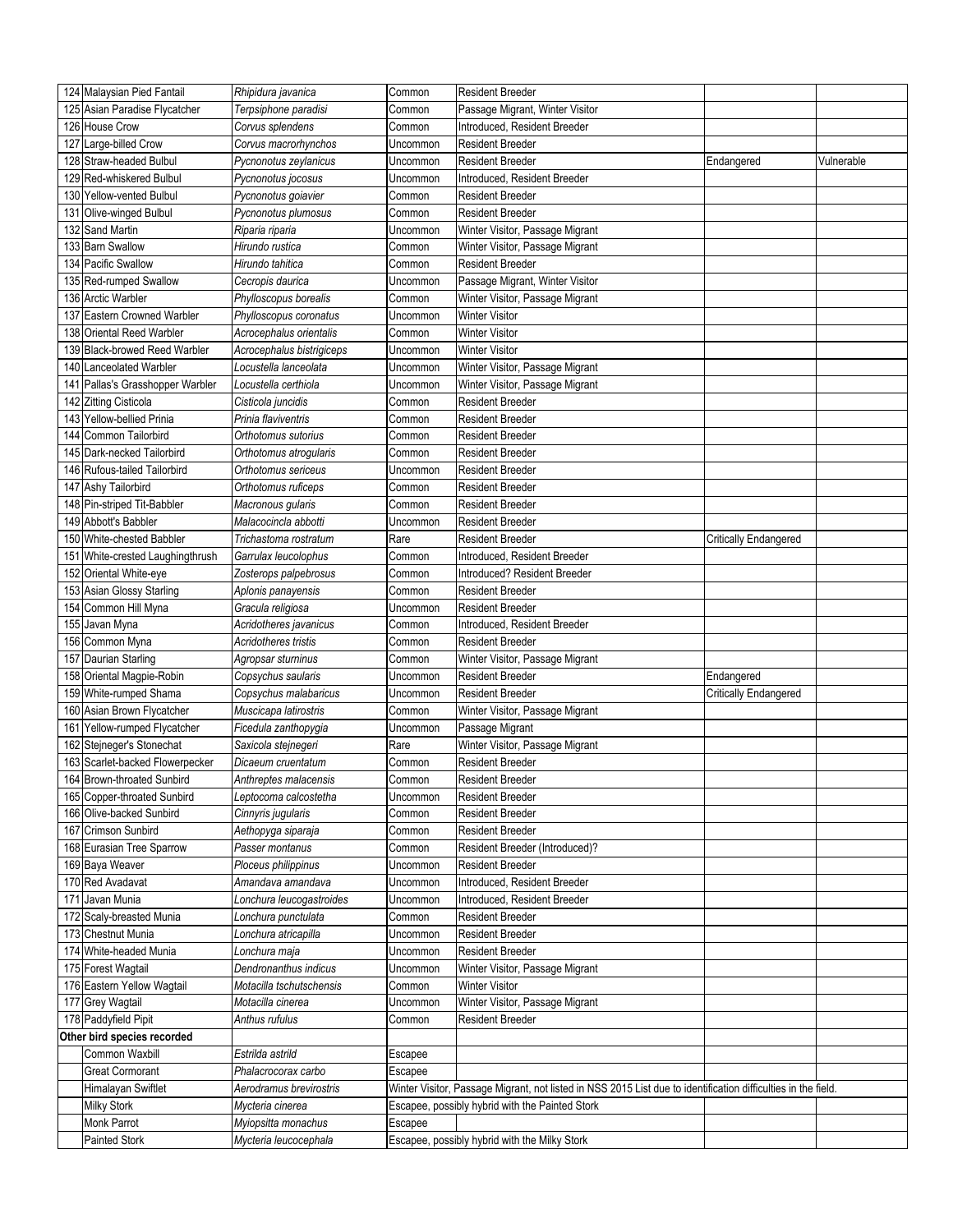| 124 Malaysian Pied Fantail       | Rhipidura javanica        | Common   | <b>Resident Breeder</b>                                                                                       |                              |            |
|----------------------------------|---------------------------|----------|---------------------------------------------------------------------------------------------------------------|------------------------------|------------|
| 125 Asian Paradise Flycatcher    | Terpsiphone paradisi      | Common   | Passage Migrant, Winter Visitor                                                                               |                              |            |
| 126 House Crow                   | Corvus splendens          | Common   | Introduced, Resident Breeder                                                                                  |                              |            |
| 127 Large-billed Crow            | Corvus macrorhynchos      | Uncommon | <b>Resident Breeder</b>                                                                                       |                              |            |
| 128 Straw-headed Bulbul          | Pycnonotus zeylanicus     | Uncommon | <b>Resident Breeder</b>                                                                                       | Endangered                   | Vulnerable |
| 129 Red-whiskered Bulbul         | Pycnonotus jocosus        | Uncommon | Introduced. Resident Breeder                                                                                  |                              |            |
| 130 Yellow-vented Bulbul         | Pycnonotus goiavier       | Common   | <b>Resident Breeder</b>                                                                                       |                              |            |
| 131 Olive-winged Bulbul          | Pycnonotus plumosus       | Common   | <b>Resident Breeder</b>                                                                                       |                              |            |
| 132 Sand Martin                  | Riparia riparia           | Uncommon | Winter Visitor, Passage Migrant                                                                               |                              |            |
| 133 Barn Swallow                 | Hirundo rustica           | Common   | Winter Visitor, Passage Migrant                                                                               |                              |            |
| 134 Pacific Swallow              | Hirundo tahitica          | Common   | <b>Resident Breeder</b>                                                                                       |                              |            |
| 135 Red-rumped Swallow           | Cecropis daurica          | Uncommon | Passage Migrant, Winter Visitor                                                                               |                              |            |
| 136 Arctic Warbler               | Phylloscopus borealis     | Common   | Winter Visitor, Passage Migrant                                                                               |                              |            |
| 137 Eastern Crowned Warbler      | Phylloscopus coronatus    | Uncommon | <b>Winter Visitor</b>                                                                                         |                              |            |
| 138 Oriental Reed Warbler        | Acrocephalus orientalis   | Common   | <b>Winter Visitor</b>                                                                                         |                              |            |
| 139 Black-browed Reed Warbler    | Acrocephalus bistrigiceps | Uncommon | <b>Winter Visitor</b>                                                                                         |                              |            |
| 140 Lanceolated Warbler          | Locustella lanceolata     | Uncommon | Winter Visitor, Passage Migrant                                                                               |                              |            |
| 141 Pallas's Grasshopper Warbler | Locustella certhiola      | Uncommon | Winter Visitor, Passage Migrant                                                                               |                              |            |
| 142 Zitting Cisticola            | Cisticola juncidis        | Common   | Resident Breeder                                                                                              |                              |            |
| 143 Yellow-bellied Prinia        | Prinia flaviventris       | Common   | <b>Resident Breeder</b>                                                                                       |                              |            |
| 144 Common Tailorbird            | Orthotomus sutorius       | Common   | <b>Resident Breeder</b>                                                                                       |                              |            |
| 145 Dark-necked Tailorbird       | Orthotomus atrogularis    | Common   | <b>Resident Breeder</b>                                                                                       |                              |            |
| 146 Rufous-tailed Tailorbird     | Orthotomus sericeus       | Uncommon | <b>Resident Breeder</b>                                                                                       |                              |            |
| 147 Ashy Tailorbird              | Orthotomus ruficeps       | Common   | <b>Resident Breeder</b>                                                                                       |                              |            |
| 148 Pin-striped Tit-Babbler      | Macronous qularis         | Common   | Resident Breeder                                                                                              |                              |            |
| 149 Abbott's Babbler             | Malacocincla abbotti      | Uncommon | <b>Resident Breeder</b>                                                                                       |                              |            |
| 150 White-chested Babbler        | Trichastoma rostratum     | Rare     | <b>Resident Breeder</b>                                                                                       | <b>Critically Endangered</b> |            |
| 151 White-crested Laughingthrush | Garrulax leucolophus      | Common   | Introduced, Resident Breeder                                                                                  |                              |            |
| 152 Oriental White-eye           | Zosterops palpebrosus     | Common   | Introduced? Resident Breeder                                                                                  |                              |            |
| 153 Asian Glossy Starling        | Aplonis panayensis        | Common   | <b>Resident Breeder</b>                                                                                       |                              |            |
| 154 Common Hill Myna             | Gracula religiosa         | Uncommon | <b>Resident Breeder</b>                                                                                       |                              |            |
| 155 Javan Myna                   | Acridotheres javanicus    | Common   | Introduced, Resident Breeder                                                                                  |                              |            |
| 156 Common Myna                  | Acridotheres tristis      | Common   | <b>Resident Breeder</b>                                                                                       |                              |            |
| 157 Daurian Starling             | Agropsar sturninus        | Common   | Winter Visitor, Passage Migrant                                                                               |                              |            |
| 158 Oriental Magpie-Robin        | Copsychus saularis        | Uncommon | <b>Resident Breeder</b>                                                                                       | Endangered                   |            |
| 159 White-rumped Shama           | Copsychus malabaricus     | Uncommon | <b>Resident Breeder</b>                                                                                       | Critically Endangered        |            |
| 160 Asian Brown Flycatcher       | Muscicapa latirostris     | Common   | Winter Visitor, Passage Migrant                                                                               |                              |            |
| 161 Yellow-rumped Flycatcher     | Ficedula zanthopygia      | Uncommon | Passage Migrant                                                                                               |                              |            |
| 162 Stejneger's Stonechat        | Saxicola steinegeri       | Rare     | Winter Visitor, Passage Migrant                                                                               |                              |            |
| 163 Scarlet-backed Flowerpecker  | Dicaeum cruentatum        | Common   | <b>Resident Breeder</b>                                                                                       |                              |            |
| 164 Brown-throated Sunbird       | Anthreptes malacensis     | Common   | <b>Resident Breeder</b>                                                                                       |                              |            |
| 165 Copper-throated Sunbird      | Leptocoma calcostetha     | Uncommon | <b>Resident Breeder</b>                                                                                       |                              |            |
| 166 Olive-backed Sunbird         | Cinnyris jugularis        | Common   | <b>Resident Breeder</b>                                                                                       |                              |            |
| 167 Crimson Sunbird              | Aethopyga siparaja        | Common   | Resident Breeder                                                                                              |                              |            |
| 168 Eurasian Tree Sparrow        | Passer montanus           | Common   | Resident Breeder (Introduced)?                                                                                |                              |            |
| 169 Baya Weaver                  | Ploceus philippinus       | Uncommon | <b>Resident Breeder</b>                                                                                       |                              |            |
| 170 Red Avadavat                 | Amandava amandava         | Uncommon | Introduced, Resident Breeder                                                                                  |                              |            |
| 171 Javan Munia                  | Lonchura leucogastroides  | Uncommon | Introduced, Resident Breeder                                                                                  |                              |            |
| 172 Scaly-breasted Munia         | Lonchura punctulata       | Common   | Resident Breeder                                                                                              |                              |            |
| 173 Chestnut Munia               | Lonchura atricapilla      | Uncommon | <b>Resident Breeder</b>                                                                                       |                              |            |
| 174 White-headed Munia           | Lonchura maja             | Uncommon | <b>Resident Breeder</b>                                                                                       |                              |            |
| 175 Forest Wagtail               | Dendronanthus indicus     | Uncommon | Winter Visitor, Passage Migrant                                                                               |                              |            |
| 176 Eastern Yellow Wagtail       | Motacilla tschutschensis  | Common   | <b>Winter Visitor</b>                                                                                         |                              |            |
| 177 Grey Wagtail                 | Motacilla cinerea         | Uncommon | Winter Visitor, Passage Migrant                                                                               |                              |            |
| 178 Paddyfield Pipit             | Anthus rufulus            | Common   | <b>Resident Breeder</b>                                                                                       |                              |            |
| Other bird species recorded      |                           |          |                                                                                                               |                              |            |
| Common Waxbill                   | Estrilda astrild          | Escapee  |                                                                                                               |                              |            |
| <b>Great Cormorant</b>           | Phalacrocorax carbo       | Escapee  |                                                                                                               |                              |            |
| Himalayan Swiftlet               | Aerodramus brevirostris   |          | Winter Visitor, Passage Migrant, not listed in NSS 2015 List due to identification difficulties in the field. |                              |            |
| <b>Milky Stork</b>               | Mycteria cinerea          |          | Escapee, possibly hybrid with the Painted Stork                                                               |                              |            |
| Monk Parrot                      | Myiopsitta monachus       | Escapee  |                                                                                                               |                              |            |
| Painted Stork                    | Mycteria leucocephala     |          | Escapee, possibly hybrid with the Milky Stork                                                                 |                              |            |
|                                  |                           |          |                                                                                                               |                              |            |